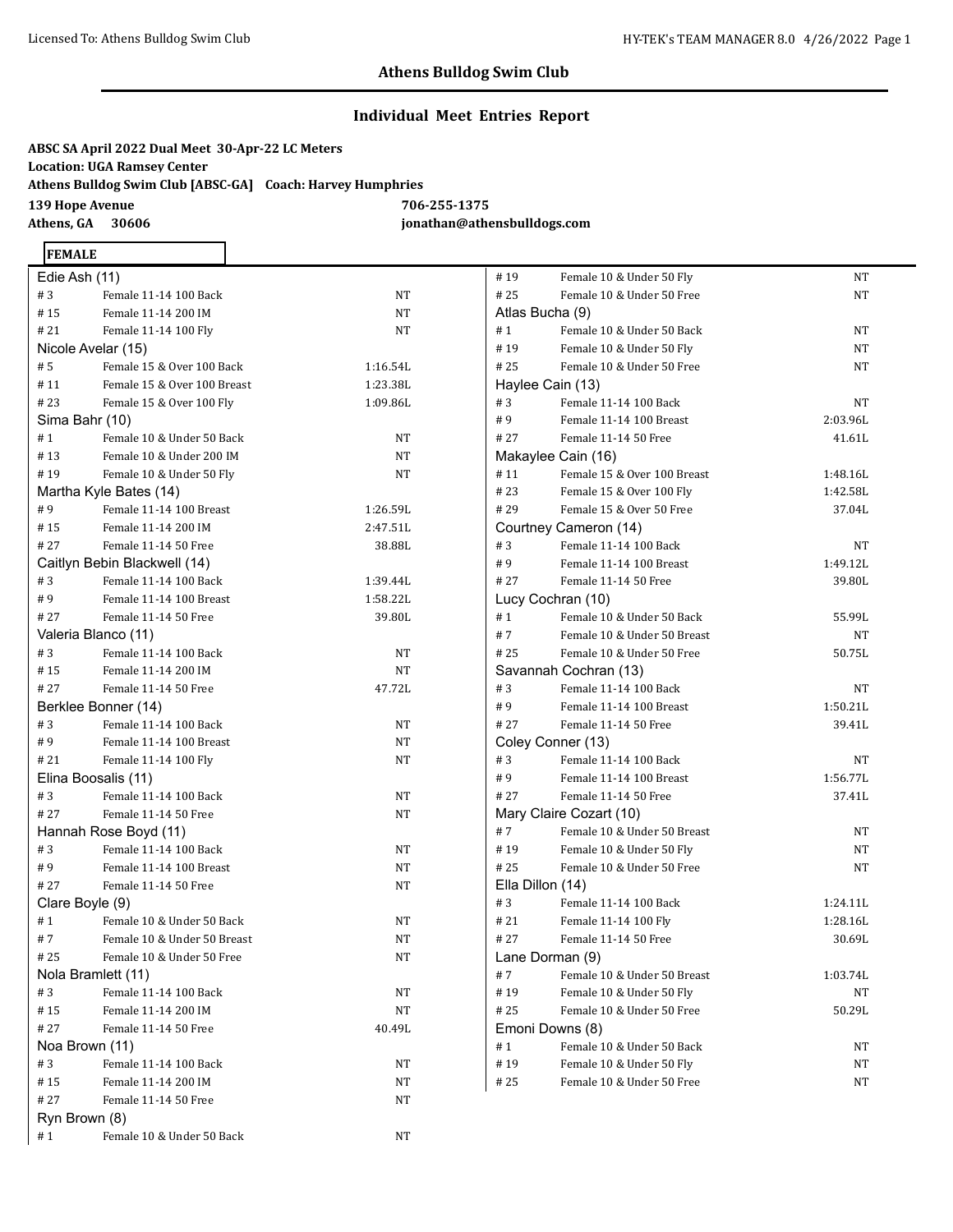## **Individual Meet Entries Report**

**ABSC SA April 2022 Dual Meet 30-Apr-22 LC Meters Location: UGA Ramsey Center Athens Bulldog Swim Club [ABSC-GA] Coach: Harvey Humphries 139 Hope Avenue 706-255-1375 Athens, GA 30606 jonathan@athensbulldogs.com**

# **FEMALE**

| Edie Ash (11)       |                              |          |  |
|---------------------|------------------------------|----------|--|
| #3                  | Female 11-14 100 Back        | NΤ       |  |
| #15                 | Female 11-14 200 IM          | NΤ       |  |
| # 21                | Female 11-14 100 Fly         | NT       |  |
| Nicole Avelar (15)  |                              |          |  |
| #5                  | Female 15 & Over 100 Back    | 1:16.54L |  |
| #11                 | Female 15 & Over 100 Breast  | 1:23.38L |  |
| #23                 | Female 15 & Over 100 Fly     | 1:09.86L |  |
| Sima Bahr (10)      |                              |          |  |
| # 1                 | Female 10 & Under 50 Back    | NT       |  |
| #13                 | Female 10 & Under 200 IM     | NΤ       |  |
| #19                 | Female 10 & Under 50 Fly     | NT       |  |
|                     | Martha Kyle Bates (14)       |          |  |
| #9                  | Female 11-14 100 Breast      | 1:26.59L |  |
| #15                 | Female 11-14 200 IM          | 2:47.51L |  |
| # 27                | Female 11-14 50 Free         | 38.88L   |  |
|                     | Caitlyn Bebin Blackwell (14) |          |  |
| #3                  | Female 11-14 100 Back        | 1:39.44L |  |
| #9                  | Female 11-14 100 Breast      | 1:58.22L |  |
| # 27                | Female 11-14 50 Free         | 39.80L   |  |
|                     | Valeria Blanco (11)          |          |  |
| #3                  | Female 11-14 100 Back        | NT       |  |
| #15                 | Female 11-14 200 IM          | NT       |  |
| # 27                | Female 11-14 50 Free         | 47.72L   |  |
|                     | Berklee Bonner (14)          |          |  |
| #3                  | Female 11-14 100 Back        | NT       |  |
| #9                  | Female 11-14 100 Breast      | NT       |  |
| #21                 | Female 11-14 100 Fly         | NT       |  |
| Elina Boosalis (11) |                              |          |  |
| #3                  | Female 11-14 100 Back        | NT       |  |
| # 27                | Female 11-14 50 Free         | NT       |  |
|                     | Hannah Rose Boyd (11)        |          |  |
| #3                  | Female 11-14 100 Back        | NT       |  |
| #9                  | Female 11-14 100 Breast      | NT       |  |
| # 27                | Female 11-14 50 Free         | NT       |  |
| Clare Boyle (9)     |                              |          |  |
| #1                  | Female 10 & Under 50 Back    | NΤ       |  |
| #7                  | Female 10 & Under 50 Breast  | NT       |  |
| # 25                | Female 10 & Under 50 Free    | NT       |  |
| Nola Bramlett (11)  |                              |          |  |
| #3                  | Female 11-14 100 Back        | NT       |  |
| #15                 | Female 11-14 200 IM          | NΤ       |  |
| #27                 | Female 11-14 50 Free         | 40.49L   |  |
| Noa Brown (11)      |                              |          |  |
| #3                  | Female 11-14 100 Back        | NΤ       |  |
| #15                 | Female 11-14 200 IM          | NΤ       |  |
| #27                 | Female 11-14 50 Free         | NΤ       |  |
| Ryn Brown (8)       |                              |          |  |
| #1                  | Female 10 & Under 50 Back    | NΤ       |  |

| #19              | Female 10 & Under 50 Fly    | NΤ       |
|------------------|-----------------------------|----------|
| #25              | Female 10 & Under 50 Free   | NT       |
| Atlas Bucha (9)  |                             |          |
| # 1              | Female 10 & Under 50 Back   | NT       |
| #19              | Female 10 & Under 50 Fly    | NT       |
| #25              | Female 10 & Under 50 Free   | NT       |
|                  | Haylee Cain (13)            |          |
| #3               | Female 11-14 100 Back       | NT       |
| #9               | Female 11-14 100 Breast     | 2:03.96L |
| # 27             | Female 11-14 50 Free        | 41.61L   |
|                  | Makaylee Cain (16)          |          |
| #11              | Female 15 & Over 100 Breast | 1:48.16L |
| #23              | Female 15 & Over 100 Fly    | 1:42.58L |
| # 29             | Female 15 & Over 50 Free    | 37.04L   |
|                  | Courtney Cameron (14)       |          |
| #3               | Female 11-14 100 Back       | NT       |
| #9               | Female 11-14 100 Breast     | 1:49.12L |
| # 27             | Female 11-14 50 Free        | 39.80L   |
|                  | Lucy Cochran (10)           |          |
| # 1              | Female 10 & Under 50 Back   | 55.99L   |
| #7               | Female 10 & Under 50 Breast | NT       |
| #25              | Female 10 & Under 50 Free   | 50.75L   |
|                  | Savannah Cochran (13)       |          |
| #3               | Female 11-14 100 Back       | NT       |
| #9               | Female 11-14 100 Breast     | 1:50.21L |
| # 27             | Female 11-14 50 Free        | 39.41L   |
|                  | Coley Conner (13)           |          |
| #3               | Female 11-14 100 Back       | NT       |
| #9               | Female 11-14 100 Breast     | 1:56.77L |
| #27              | Female 11-14 50 Free        | 37.41L   |
|                  | Mary Claire Cozart (10)     |          |
| #7               | Female 10 & Under 50 Breast | NΤ       |
| #19              | Female 10 & Under 50 Fly    | NΤ       |
| # 25             | Female 10 & Under 50 Free   | NΤ       |
| Ella Dillon (14) |                             |          |
| #3               | Female 11-14 100 Back       | 1:24.11L |
| # 21             | Female 11-14 100 Fly        | 1:28.16L |
| #27              | Female 11-14 50 Free        | 30.69L   |
|                  | Lane Dorman (9)             |          |
| # 7              | Female 10 & Under 50 Breast | 1:03.74L |
| #19              | Female 10 & Under 50 Fly    | NΤ       |
| #25              | Female 10 & Under 50 Free   | 50.29L   |
|                  | Emoni Downs (8)             |          |
| #1               | Female 10 & Under 50 Back   | NT       |
| #19              | Female 10 & Under 50 Fly    | NT       |
| # 25             | Female 10 & Under 50 Free   | NΤ       |
|                  |                             |          |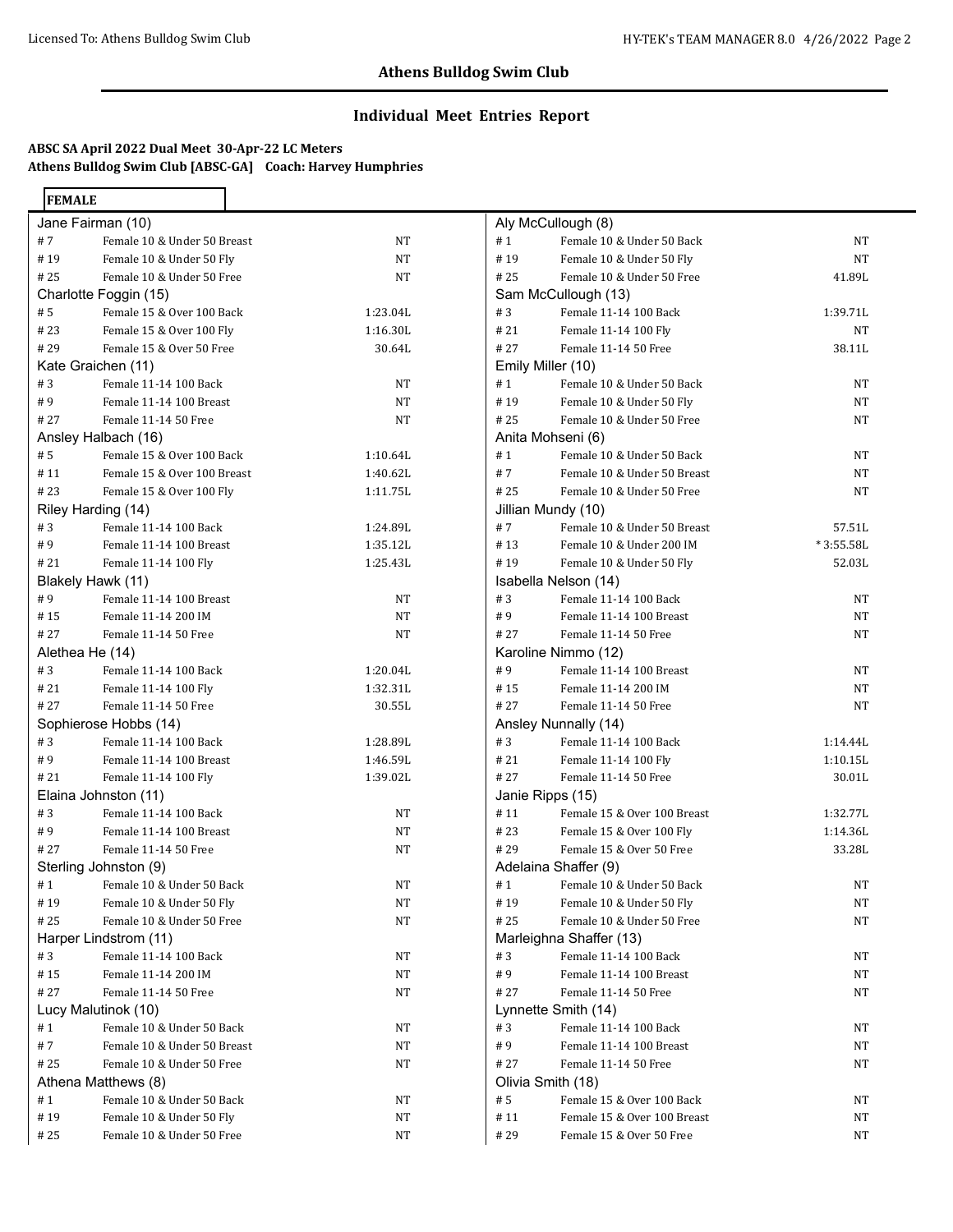## **Individual Meet Entries Report**

# **ABSC SA April 2022 Dual Meet 30-Apr-22 LC Meters Athens Bulldog Swim Club [ABSC-GA] Coach: Harvey Humphries**

| <b>FEMALE</b>     |                                                |          |  |  |
|-------------------|------------------------------------------------|----------|--|--|
|                   | Jane Fairman (10)                              |          |  |  |
| #7                | Female 10 & Under 50 Breast                    | NT       |  |  |
| #19               | Female 10 & Under 50 Fly                       | NT       |  |  |
| # 25              | Female 10 & Under 50 Free                      | NΤ       |  |  |
|                   | Charlotte Foggin (15)                          |          |  |  |
| # 5               | Female 15 & Over 100 Back                      | 1:23.04L |  |  |
| # 23              | Female 15 & Over 100 Fly                       | 1:16.30L |  |  |
| #29               | Female 15 & Over 50 Free                       | 30.64L   |  |  |
|                   | Kate Graichen (11)                             |          |  |  |
| #3                | Female 11-14 100 Back                          | NT       |  |  |
| #9                | Female 11-14 100 Breast                        | NT       |  |  |
| # 27              | Female 11-14 50 Free                           | NT       |  |  |
|                   | Ansley Halbach (16)                            |          |  |  |
| # 5               | Female 15 & Over 100 Back                      | 1:10.64L |  |  |
| #11               | Female 15 & Over 100 Breast                    | 1:40.62L |  |  |
| # 23              | Female 15 & Over 100 Fly                       | 1:11.75L |  |  |
|                   | Riley Harding (14)                             |          |  |  |
| #3                | Female 11-14 100 Back                          | 1:24.89L |  |  |
| #9                | Female 11-14 100 Breast                        | 1:35.12L |  |  |
| #21               | Female 11-14 100 Fly                           | 1:25.43L |  |  |
| Blakely Hawk (11) |                                                |          |  |  |
| #9                | Female 11-14 100 Breast                        | NT       |  |  |
| # 15              | Female 11-14 200 IM                            | NT       |  |  |
| # 27              | Female 11-14 50 Free                           | NT       |  |  |
| Alethea He (14)   |                                                |          |  |  |
| #3                | Female 11-14 100 Back                          | 1:20.04L |  |  |
| #21               | Female 11-14 100 Fly                           | 1:32.31L |  |  |
| # 27              | Female 11-14 50 Free                           | 30.55L   |  |  |
|                   | Sophierose Hobbs (14)                          |          |  |  |
| #3                | Female 11-14 100 Back                          | 1:28.89L |  |  |
| #9                | Female 11-14 100 Breast                        | 1:46.59L |  |  |
| # 21              | Female 11-14 100 Fly                           | 1:39.02L |  |  |
|                   | Elaina Johnston (11)                           |          |  |  |
| #3                | Female 11-14 100 Back                          | NT       |  |  |
| #9                | Female 11-14 100 Breast                        | NT       |  |  |
| # 27              | Female 11-14 50 Free                           | NT       |  |  |
|                   | Sterling Johnston (9)                          |          |  |  |
| #1                | Female 10 & Under 50 Back                      | NT       |  |  |
| #19               | Female 10 & Under 50 Fly                       | NT       |  |  |
| # 25              | Female 10 & Under 50 Free                      | NT       |  |  |
| #3                | Harper Lindstrom (11)<br>Female 11-14 100 Back |          |  |  |
|                   | Female 11-14 200 IM                            | NT       |  |  |
| #15<br># 27       | Female 11-14 50 Free                           | NT<br>NT |  |  |
|                   | Lucy Malutinok (10)                            |          |  |  |
| #1                | Female 10 & Under 50 Back                      | NT       |  |  |
| #7                | Female 10 & Under 50 Breast                    | NT       |  |  |
| #25               | Female 10 & Under 50 Free                      | NT       |  |  |
|                   | Athena Matthews (8)                            |          |  |  |
| #1                | Female 10 & Under 50 Back                      | NT       |  |  |
| #19               | Female 10 & Under 50 Fly                       | NT       |  |  |
|                   | Female 10 & Under 50 Free                      |          |  |  |
| # 25              |                                                | NT       |  |  |

|      | Aly McCullough (8)          |           |
|------|-----------------------------|-----------|
| #1   | Female 10 & Under 50 Back   | NΤ        |
| #19  | Female 10 & Under 50 Fly    | NT        |
| #25  | Female 10 & Under 50 Free   | 41.89L    |
|      | Sam McCullough (13)         |           |
| #3   | Female 11-14 100 Back       | 1:39.71L  |
| # 21 | Female 11-14 100 Fly        | NT        |
| # 27 | Female 11-14 50 Free        | 38.11L    |
|      | Emily Miller (10)           |           |
| #1   | Female 10 & Under 50 Back   | NT        |
| #19  | Female 10 & Under 50 Fly    | NΤ        |
| # 25 | Female 10 & Under 50 Free   | NΤ        |
|      | Anita Mohseni (6)           |           |
| #1   | Female 10 & Under 50 Back   | NΤ        |
| #7   | Female 10 & Under 50 Breast | NΤ        |
| #25  | Female 10 & Under 50 Free   | NT        |
|      | Jillian Mundy (10)          |           |
| #7   | Female 10 & Under 50 Breast | 57.51L    |
| #13  | Female 10 & Under 200 IM    | *3:55.58L |
| #19  | Female 10 & Under 50 Fly    | 52.03L    |
|      | Isabella Nelson (14)        |           |
| #3   | Female 11-14 100 Back       | NΤ        |
| #9   | Female 11-14 100 Breast     | NΤ        |
| # 27 | Female 11-14 50 Free        | NΤ        |
|      | Karoline Nimmo (12)         |           |
| #9   | Female 11-14 100 Breast     | NΤ        |
| #15  | Female 11-14 200 IM         | NΤ        |
| # 27 | Female 11-14 50 Free        | NT        |
|      | Ansley Nunnally (14)        |           |
| #3   | Female 11-14 100 Back       | 1:14.44L  |
| #21  | Female 11-14 100 Fly        | 1:10.15L  |
| # 27 | Female 11-14 50 Free        | 30.01L    |
|      | Janie Ripps (15)            |           |
| #11  | Female 15 & Over 100 Breast | 1:32.77L  |
| #23  | Female 15 & Over 100 Fly    | 1:14.36L  |
| # 29 | Female 15 & Over 50 Free    | 33.28L    |
|      | Adelaina Shaffer (9)        |           |
| #1   | Female 10 & Under 50 Back   | NΤ        |
| # 19 | Female 10 & Under 50 Fly    | NT        |
| #25  | Female 10 & Under 50 Free   | NΤ        |
|      | Marleighna Shaffer (13)     |           |
| #3   | Female 11-14 100 Back       | NT        |
| #9   | Female 11-14 100 Breast     | NΤ        |
| #27  | Female 11-14 50 Free        | NΤ        |
|      | Lynnette Smith (14)         |           |
| #3   | Female 11-14 100 Back       | NT        |
| #9   | Female 11-14 100 Breast     | NT        |
| # 27 | Female 11-14 50 Free        | NΤ        |
|      | Olivia Smith (18)           |           |
| # 5  | Female 15 & Over 100 Back   | NΤ        |
| #11  | Female 15 & Over 100 Breast | NT        |
| #29  | Female 15 & Over 50 Free    | NT        |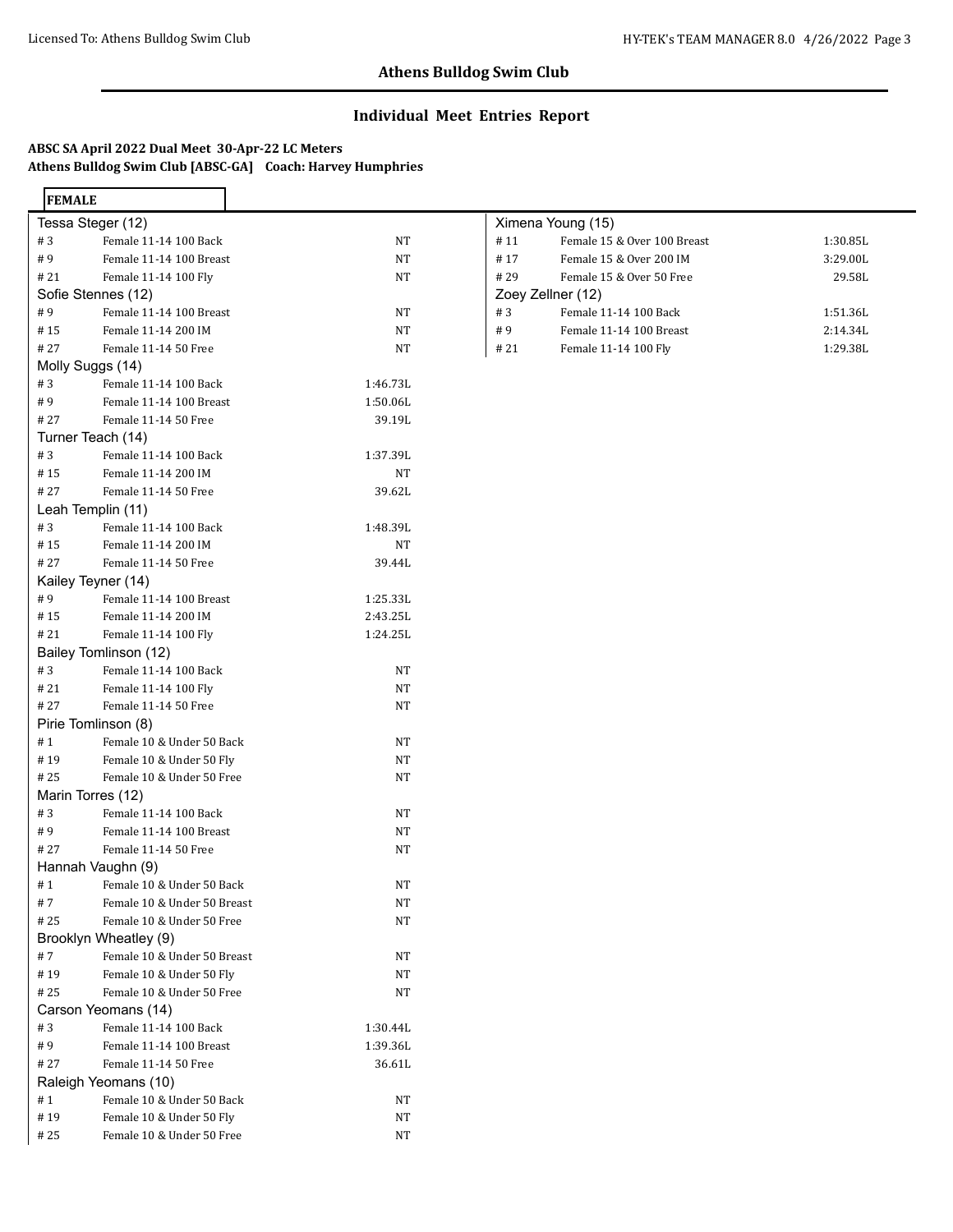# **Individual Meet Entries Report**

# **ABSC SA April 2022 Dual Meet 30-Apr-22 LC Meters Athens Bulldog Swim Club [ABSC-GA] Coach: Harvey Humphries**

| <b>FEMALE</b>     |                             |           |                   |                             |          |
|-------------------|-----------------------------|-----------|-------------------|-----------------------------|----------|
|                   | Tessa Steger (12)           |           |                   | Ximena Young (15)           |          |
| #3                | Female 11-14 100 Back       | NT        | #11               | Female 15 & Over 100 Breast | 1:30.85L |
| #9                | Female 11-14 100 Breast     | NT        | #17               | Female 15 & Over 200 IM     | 3:29.00L |
| # 21              | Female 11-14 100 Fly        | <b>NT</b> | #29               | Female 15 & Over 50 Free    | 29.58L   |
|                   | Sofie Stennes (12)          |           | Zoey Zellner (12) |                             |          |
| #9                | Female 11-14 100 Breast     | NT        | #3                | Female 11-14 100 Back       | 1:51.36L |
| #15               | Female 11-14 200 IM         | NT        | #9                | Female 11-14 100 Breast     | 2:14.34L |
| # 27              | Female 11-14 50 Free        | NT        | # 21              | Female 11-14 100 Fly        | 1:29.38L |
| Molly Suggs (14)  |                             |           |                   |                             |          |
| #3                | Female 11-14 100 Back       | 1:46.73L  |                   |                             |          |
| #9                | Female 11-14 100 Breast     | 1:50.06L  |                   |                             |          |
| # 27              | Female 11-14 50 Free        | 39.19L    |                   |                             |          |
|                   | Turner Teach (14)           |           |                   |                             |          |
| #3                | Female 11-14 100 Back       | 1:37.39L  |                   |                             |          |
| #15               | Female 11-14 200 IM         | NT        |                   |                             |          |
| # 27              | Female 11-14 50 Free        | 39.62L    |                   |                             |          |
|                   | Leah Templin (11)           |           |                   |                             |          |
| #3                | Female 11-14 100 Back       | 1:48.39L  |                   |                             |          |
| #15               | Female 11-14 200 IM         | NT        |                   |                             |          |
| # 27              | Female 11-14 50 Free        | 39.44L    |                   |                             |          |
|                   | Kailey Teyner (14)          |           |                   |                             |          |
| #9                | Female 11-14 100 Breast     | 1:25.33L  |                   |                             |          |
| #15               | Female 11-14 200 IM         | 2:43.25L  |                   |                             |          |
| # 21              | Female 11-14 100 Fly        | 1:24.25L  |                   |                             |          |
|                   | Bailey Tomlinson (12)       |           |                   |                             |          |
| #3                | Female 11-14 100 Back       | NT        |                   |                             |          |
| # 21              | Female 11-14 100 Fly        | NT        |                   |                             |          |
| #27               | Female 11-14 50 Free        | NT        |                   |                             |          |
|                   | Pirie Tomlinson (8)         |           |                   |                             |          |
| #1                | Female 10 & Under 50 Back   | NT        |                   |                             |          |
| #19               | Female 10 & Under 50 Fly    | NT        |                   |                             |          |
| # 25              | Female 10 & Under 50 Free   | NT        |                   |                             |          |
| Marin Torres (12) |                             |           |                   |                             |          |
| #3                | Female 11-14 100 Back       | <b>NT</b> |                   |                             |          |
| #9                | Female 11-14 100 Breast     | <b>NT</b> |                   |                             |          |
| # 27              | Female 11-14 50 Free        | NT        |                   |                             |          |
|                   | Hannah Vaughn (9)           |           |                   |                             |          |
| #1                | Female 10 & Under 50 Back   | NT        |                   |                             |          |
| #7                | Female 10 & Under 50 Breast | NT        |                   |                             |          |
| #25               | Female 10 & Under 50 Free   | <b>NT</b> |                   |                             |          |
|                   | Brooklyn Wheatley (9)       |           |                   |                             |          |
| #7                | Female 10 & Under 50 Breast | NT        |                   |                             |          |
| #19               | Female 10 & Under 50 Fly    | NT        |                   |                             |          |
| #25               | Female 10 & Under 50 Free   | NT        |                   |                             |          |
|                   | Carson Yeomans (14)         |           |                   |                             |          |
| $\#$ 3            | Female 11-14 100 Back       | 1:30.44L  |                   |                             |          |
| #9                | Female 11-14 100 Breast     | 1:39.36L  |                   |                             |          |
| # 27              | Female 11-14 50 Free        | 36.61L    |                   |                             |          |
|                   | Raleigh Yeomans (10)        |           |                   |                             |          |
| #1                | Female 10 & Under 50 Back   | NT        |                   |                             |          |
| #19               | Female 10 & Under 50 Fly    | NT        |                   |                             |          |
| # 25              | Female 10 & Under 50 Free   | NT        |                   |                             |          |
|                   |                             |           |                   |                             |          |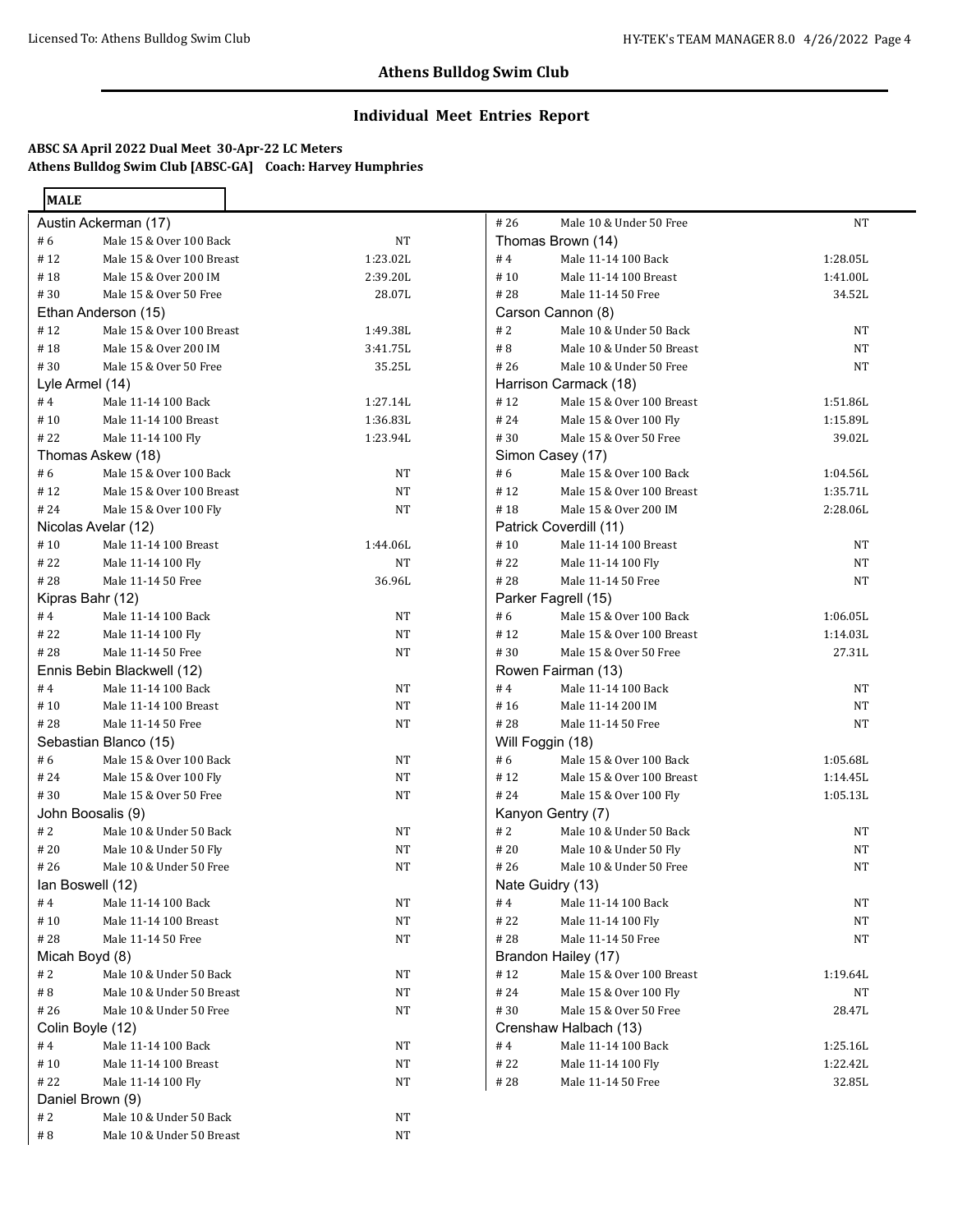# **Individual Meet Entries Report**

# **ABSC SA April 2022 Dual Meet 30-Apr-22 LC Meters Athens Bulldog Swim Club [ABSC-GA] Coach: Harvey Humphries**

| <b>MALE</b>       |                            |          |  |
|-------------------|----------------------------|----------|--|
|                   | Austin Ackerman (17)       |          |  |
| # 6               | Male 15 & Over 100 Back    | NΤ       |  |
| #12               | Male 15 & Over 100 Breast  | 1:23.02L |  |
| #18               | Male 15 & Over 200 IM      | 2:39.20L |  |
| #30               | Male 15 & Over 50 Free     | 28.07L   |  |
|                   | Ethan Anderson (15)        |          |  |
| #12               | Male 15 & Over 100 Breast  | 1:49.38L |  |
| #18               | Male 15 & Over 200 IM      | 3:41.75L |  |
| #30               | Male 15 & Over 50 Free     | 35.25L   |  |
| Lyle Armel (14)   |                            |          |  |
| #4                | Male 11-14 100 Back        | 1:27.14L |  |
| # 10              | Male 11-14 100 Breast      | 1:36.83L |  |
| # 22              | Male 11-14 100 Fly         | 1:23.94L |  |
|                   | Thomas Askew (18)          |          |  |
| #6                | Male 15 & Over 100 Back    | NT       |  |
| #12               | Male 15 & Over 100 Breast  | NT       |  |
| #24               | Male 15 & Over 100 Fly     | NT       |  |
|                   | Nicolas Avelar (12)        |          |  |
| #10               | Male 11-14 100 Breast      | 1:44.06L |  |
| # 22              | Male 11-14 100 Fly         | NT       |  |
| #28               | Male 11-14 50 Free         | 36.96L   |  |
| Kipras Bahr (12)  |                            |          |  |
| #4                | Male 11-14 100 Back        | NT       |  |
| # 22              | Male 11-14 100 Fly         | NT       |  |
| # 28              | Male 11-14 50 Free         | NT       |  |
|                   | Ennis Bebin Blackwell (12) |          |  |
| #4                | Male 11-14 100 Back        | NT       |  |
| # 10              | Male 11-14 100 Breast      | NT       |  |
| # 28              | Male 11-14 50 Free         | NT       |  |
|                   | Sebastian Blanco (15)      |          |  |
| # 6               | Male 15 & Over 100 Back    | NT       |  |
| # 24              | Male 15 & Over 100 Fly     | NT       |  |
| # 30              | Male 15 & Over 50 Free     | NΤ       |  |
| John Boosalis (9) |                            |          |  |
| # 2               | Male 10 & Under 50 Back    | NT       |  |
| # 20              | Male 10 & Under 50 Fly     | NΤ       |  |
| # 26              | Male 10 & Under 50 Free    | NT       |  |
| lan Boswell (12)  |                            |          |  |
| #4                | Male 11-14 100 Back        | NT       |  |
| #10               | Male 11-14 100 Breast      | NT       |  |
| #28               | Male 11-14 50 Free         | NT       |  |
| Micah Boyd (8)    |                            |          |  |
| # 2               | Male 10 & Under 50 Back    | NT       |  |
| # 8               | Male 10 & Under 50 Breast  | NT       |  |
| # 26              | Male 10 & Under 50 Free    | NT       |  |
| Colin Boyle (12)  |                            |          |  |
| #4                | Male 11-14 100 Back        | NT       |  |
| #10               | Male 11-14 100 Breast      | NT       |  |
| # 22              | Male 11-14 100 Fly         | NT       |  |
| Daniel Brown (9)  |                            |          |  |
| # 2               | Male 10 & Under 50 Back    | NT       |  |
| # 8               | Male 10 & Under 50 Breast  | NT       |  |

| #26               | Male 10 & Under 50 Free   | NΤ       |  |  |
|-------------------|---------------------------|----------|--|--|
| Thomas Brown (14) |                           |          |  |  |
| #4                | Male 11-14 100 Back       | 1:28.05L |  |  |
| #10               | Male 11-14 100 Breast     | 1:41.00L |  |  |
| #28               | Male 11-14 50 Free        | 34.52L   |  |  |
|                   | Carson Cannon (8)         |          |  |  |
| #2                | Male 10 & Under 50 Back   | NT       |  |  |
| # 8               | Male 10 & Under 50 Breast | NΤ       |  |  |
| #26               | Male 10 & Under 50 Free   | NΤ       |  |  |
|                   | Harrison Carmack (18)     |          |  |  |
| #12               | Male 15 & Over 100 Breast | 1:51.86L |  |  |
| #24               | Male 15 & Over 100 Fly    | 1:15.89L |  |  |
| #30               | Male 15 & Over 50 Free    | 39.02L   |  |  |
|                   | Simon Casey (17)          |          |  |  |
| # 6               | Male 15 & Over 100 Back   | 1:04.56L |  |  |
| #12               | Male 15 & Over 100 Breast | 1:35.71L |  |  |
| # 18              | Male 15 & Over 200 IM     | 2:28.06L |  |  |
|                   | Patrick Coverdill (11)    |          |  |  |
| #10               | Male 11-14 100 Breast     | NΤ       |  |  |
| # 22              | Male 11-14 100 Fly        | NΤ       |  |  |
| #28               | Male 11-14 50 Free        | NΤ       |  |  |
|                   | Parker Fagrell (15)       |          |  |  |
| # 6               | Male 15 & Over 100 Back   | 1:06.05L |  |  |
| #12               | Male 15 & Over 100 Breast | 1:14.03L |  |  |
| # 30              | Male 15 & Over 50 Free    | 27.31L   |  |  |
|                   | Rowen Fairman (13)        |          |  |  |
| #4                | Male 11-14 100 Back       | NΤ       |  |  |
| #16               | Male 11-14 200 IM         | NΤ       |  |  |
| #28               | Male 11-14 50 Free        | NΤ       |  |  |
| Will Foggin (18)  |                           |          |  |  |
| #6                | Male 15 & Over 100 Back   | 1:05.68L |  |  |
| #12               | Male 15 & Over 100 Breast | 1:14.45L |  |  |
| #24               | Male 15 & Over 100 Fly    | 1:05.13L |  |  |
|                   | Kanyon Gentry (7)         |          |  |  |
| # 2               | Male 10 & Under 50 Back   | NT       |  |  |
| # 20              | Male 10 & Under 50 Fly    | NΤ       |  |  |
| #26               | Male 10 & Under 50 Free   | NΤ       |  |  |
| Nate Guidry (13)  |                           |          |  |  |
| #4                | Male 11-14 100 Back       | NΤ       |  |  |
| # 22              | Male 11-14 100 Fly        | NΤ       |  |  |
| #28               | Male 11-14 50 Free        | NT       |  |  |
|                   | Brandon Hailey (17)       |          |  |  |
| #12               | Male 15 & Over 100 Breast | 1:19.64L |  |  |
| #24               | Male 15 & Over 100 Fly    | NΤ       |  |  |
| #30               | Male 15 & Over 50 Free    | 28.47L   |  |  |
|                   | Crenshaw Halbach (13)     |          |  |  |
| #4                | Male 11-14 100 Back       | 1:25.16L |  |  |
| # 22              | Male 11-14 100 Fly        | 1:22.42L |  |  |
| # 28              | Male 11-14 50 Free        | 32.85L   |  |  |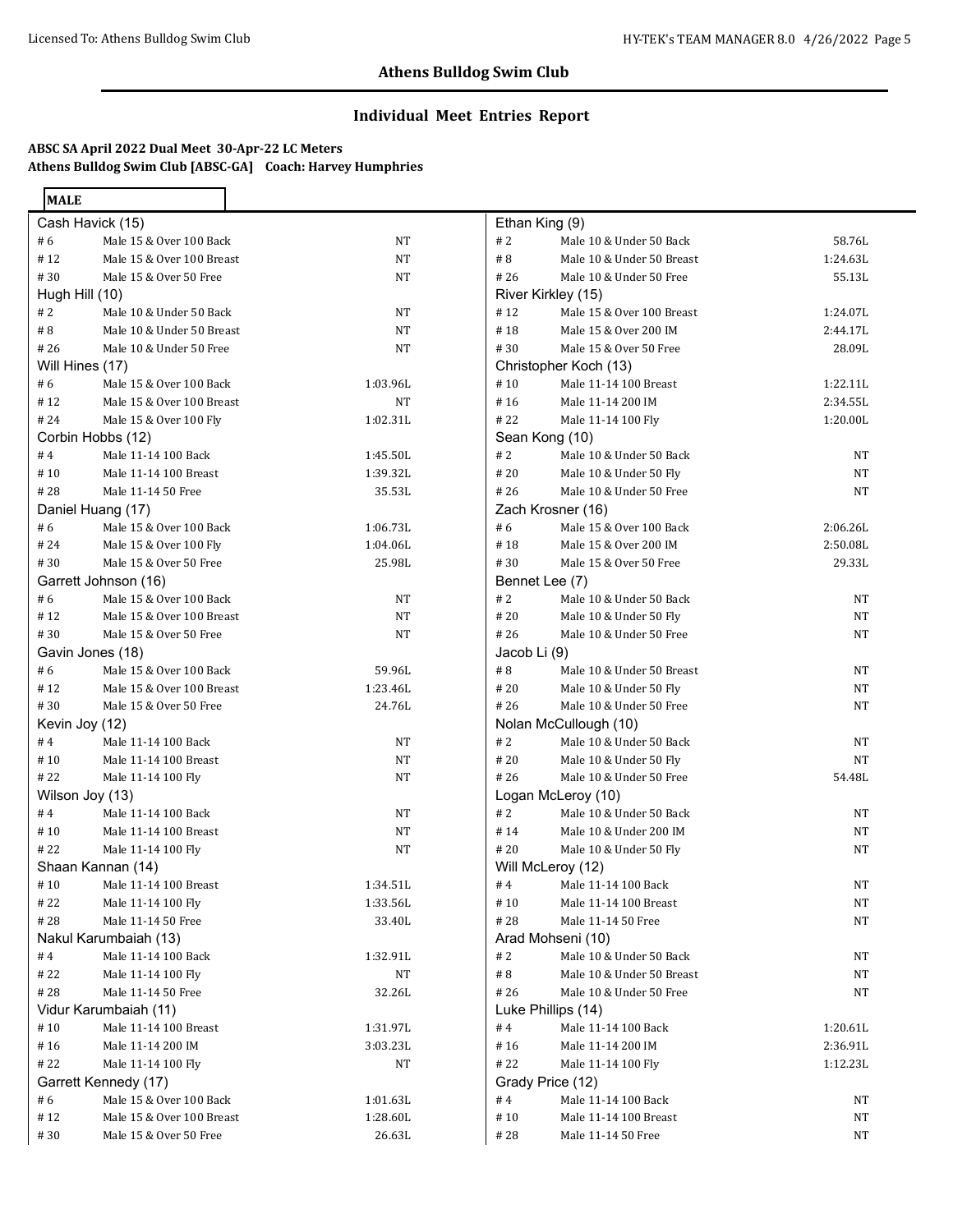# **Individual Meet Entries Report**

# **ABSC SA April 2022 Dual Meet 30-Apr-22 LC Meters Athens Bulldog Swim Club [ABSC-GA] Coach: Harvey Humphries**

| <b>MALE</b>     |                           |          |
|-----------------|---------------------------|----------|
|                 | Cash Havick (15)          |          |
| #6              | Male 15 & Over 100 Back   | NT       |
| #12             | Male 15 & Over 100 Breast | NΤ       |
| # 30            | Male 15 & Over 50 Free    | NT       |
| Hugh Hill (10)  |                           |          |
| #2              | Male 10 & Under 50 Back   | NΤ       |
| # 8             | Male 10 & Under 50 Breast | NT       |
| # 26            | Male 10 & Under 50 Free   | NΤ       |
| Will Hines (17) |                           |          |
| #6              | Male 15 & Over 100 Back   | 1:03.96L |
| #12             | Male 15 & Over 100 Breast | NT       |
| # 24            | Male 15 & Over 100 Fly    | 1:02.31L |
|                 | Corbin Hobbs (12)         |          |
| #4              | Male 11-14 100 Back       | 1:45.50L |
| #10             | Male 11-14 100 Breast     | 1:39.32L |
| # 28            | Male 11-14 50 Free        | 35.53L   |
|                 | Daniel Huang (17)         |          |
| #6              | Male 15 & Over 100 Back   | 1:06.73L |
| # 24            | Male 15 & Over 100 Fly    | 1:04.06L |
| # 30            | Male 15 & Over 50 Free    | 25.98L   |
|                 | Garrett Johnson (16)      |          |
| #6              | Male 15 & Over 100 Back   | NΤ       |
| #12             | Male 15 & Over 100 Breast | NT       |
| #30             | Male 15 & Over 50 Free    | NT       |
|                 | Gavin Jones (18)          |          |
| #6              | Male 15 & Over 100 Back   | 59.96L   |
| # 12            | Male 15 & Over 100 Breast | 1:23.46L |
| # 30            | Male 15 & Over 50 Free    | 24.76L   |
| Kevin Joy (12)  |                           |          |
| #4              | Male 11-14 100 Back       | NT       |
| #10             | Male 11-14 100 Breast     | NT       |
| # 22            | Male 11-14 100 Fly        | NΤ       |
|                 | Wilson Joy (13)           |          |
| #4              | Male 11-14 100 Back       | NT       |
| # 10            | Male 11-14 100 Breast     | NΤ       |
| #22             | Male 11-14 100 Fly        | NT       |
|                 | Shaan Kannan (14)         |          |
| #10             | Male 11-14 100 Breast     | 1:34.51L |
| # 22            | Male 11-14 100 Fly        | 1:33.56L |
| # 28            | Male 11-14 50 Free        | 33.40L   |
|                 | Nakul Karumbaiah (13)     |          |
| #4              | Male 11-14 100 Back       | 1:32.91L |
| # 22            | Male 11-14 100 Fly        | NT       |
| # 28            | Male 11-14 50 Free        | 32.26L   |
|                 | Vidur Karumbaiah (11)     |          |
| #10             | Male 11-14 100 Breast     | 1:31.97L |
| #16             | Male 11-14 200 IM         | 3:03.23L |
| #22             | Male 11-14 100 Fly        | NΤ       |
|                 | Garrett Kennedy (17)      |          |
| # 6             | Male 15 & Over 100 Back   | 1:01.63L |
| #12             | Male 15 & Over 100 Breast | 1:28.60L |
| #30             | Male 15 & Over 50 Free    | 26.63L   |
|                 |                           |          |

|                    | Ethan King (9)            |          |  |  |
|--------------------|---------------------------|----------|--|--|
| #2                 | Male 10 & Under 50 Back   | 58.76L   |  |  |
| #8                 | Male 10 & Under 50 Breast | 1:24.63L |  |  |
| #26                | Male 10 & Under 50 Free   | 55.13L   |  |  |
| River Kirkley (15) |                           |          |  |  |
| #12                | Male 15 & Over 100 Breast | 1:24.07L |  |  |
| #18                | Male 15 & Over 200 IM     | 2:44.17L |  |  |
| #30                | Male 15 & Over 50 Free    | 28.09L   |  |  |
|                    | Christopher Koch (13)     |          |  |  |
| #10                | Male 11-14 100 Breast     | 1:22.11L |  |  |
| #16                | Male 11-14 200 IM         | 2:34.55L |  |  |
| #22                | Male 11-14 100 Fly        | 1:20.00L |  |  |
| Sean Kong (10)     |                           |          |  |  |
| #2                 | Male 10 & Under 50 Back   | NΤ       |  |  |
| #20                | Male 10 & Under 50 Fly    | NΤ       |  |  |
| # 26               | Male 10 & Under 50 Free   | NT       |  |  |
| Zach Krosner (16)  |                           |          |  |  |
| # $6$              | Male 15 & Over 100 Back   | 2:06.26L |  |  |
| #18                | Male 15 & Over 200 IM     | 2:50.08L |  |  |
| #30                | Male 15 & Over 50 Free    | 29.33L   |  |  |
| Bennet Lee (7)     |                           |          |  |  |
| #2                 | Male 10 & Under 50 Back   | NΤ       |  |  |
| #20                | Male 10 & Under 50 Fly    | NT       |  |  |
| # 26               | Male 10 & Under 50 Free   | NT       |  |  |
| Jacob Li (9)       |                           |          |  |  |
| # 8                | Male 10 & Under 50 Breast | NΤ       |  |  |
| #20                | Male 10 & Under 50 Fly    | NT       |  |  |
| #26                | Male 10 & Under 50 Free   | NΤ       |  |  |
|                    | Nolan McCullough (10)     |          |  |  |
| #2                 | Male 10 & Under 50 Back   | NT       |  |  |
| #20                | Male 10 & Under 50 Fly    | NT       |  |  |
| #26                | Male 10 & Under 50 Free   | 54.48L   |  |  |
|                    | Logan McLeroy (10)        |          |  |  |
| #2                 | Male 10 & Under 50 Back   | NT       |  |  |
| #14                | Male 10 & Under 200 IM    | NT       |  |  |
| #20                | Male 10 & Under 50 Fly    | NT       |  |  |
| Will McLeroy (12)  |                           |          |  |  |
| #4                 | Male 11-14 100 Back       | NT       |  |  |
| #10                | Male 11-14 100 Breast     | NT       |  |  |
| # 28               | Male 11-14 50 Free        | NT       |  |  |
| Arad Mohseni (10)  |                           |          |  |  |
| #2                 | Male 10 & Under 50 Back   | NT       |  |  |
| # 8                | Male 10 & Under 50 Breast | NT       |  |  |
| #26                | Male 10 & Under 50 Free   | NΤ       |  |  |
| Luke Phillips (14) |                           |          |  |  |
| #4                 | Male 11-14 100 Back       | 1:20.61L |  |  |
| #16                | Male 11-14 200 IM         | 2:36.91L |  |  |
| # 22               | Male 11-14 100 Fly        | 1:12.23L |  |  |
| Grady Price (12)   |                           |          |  |  |
| #4                 | Male 11-14 100 Back       | NT       |  |  |
| #10                | Male 11-14 100 Breast     | NT       |  |  |
| # 28               | Male 11-14 50 Free        | NT       |  |  |
|                    |                           |          |  |  |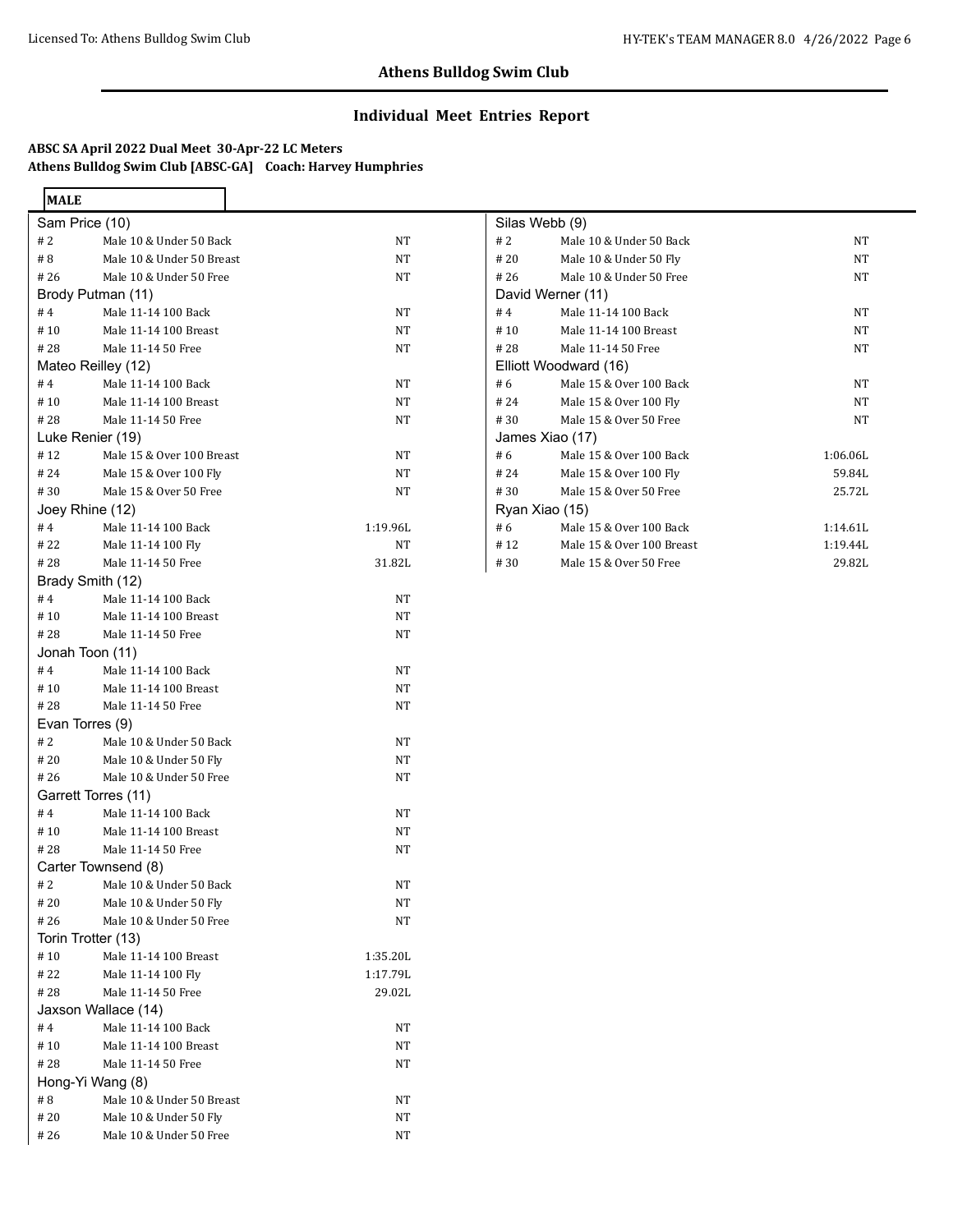## **Individual Meet Entries Report**

# **ABSC SA April 2022 Dual Meet 30-Apr-22 LC Meters Athens Bulldog Swim Club [ABSC-GA] Coach: Harvey Humphries**

٠ ┑

| <b>MALE</b>         |                           |          |
|---------------------|---------------------------|----------|
| Sam Price (10)      |                           |          |
| # 2                 | Male 10 & Under 50 Back   | NT       |
| #8                  | Male 10 & Under 50 Breast | NT       |
| # 26                | Male 10 & Under 50 Free   | NT       |
|                     | Brody Putman (11)         |          |
| #4                  | Male 11-14 100 Back       | NT       |
| # 10                | Male 11-14 100 Breast     | NT       |
| # 28                | Male 11-14 50 Free        | NΤ       |
| Mateo Reilley (12)  |                           |          |
| #4                  | Male 11-14 100 Back       | NT       |
| #10                 | Male 11-14 100 Breast     | NT       |
| # 28                | Male 11-14 50 Free        | NT       |
| Luke Renier (19)    |                           |          |
| #12                 | Male 15 & Over 100 Breast | NT       |
| #24                 | Male 15 & Over 100 Fly    | NT       |
| # 30                | Male 15 & Over 50 Free    | NT       |
| Joey Rhine (12)     |                           |          |
| #4                  | Male 11-14 100 Back       | 1:19.96L |
| # 22                | Male 11-14 100 Fly        | NT       |
| # 28                | Male 11-14 50 Free        | 31.82L   |
| Brady Smith (12)    |                           |          |
| #4                  | Male 11-14 100 Back       | NT       |
| #10                 | Male 11-14 100 Breast     | NT       |
| # 28                | Male 11-14 50 Free        | NT       |
| Jonah Toon (11)     |                           |          |
| #4                  | Male 11-14 100 Back       | NT       |
| #10                 | Male 11-14 100 Breast     | NT       |
| # 28                | Male 11-14 50 Free        | NT       |
| Evan Torres (9)     |                           |          |
| # 2                 | Male 10 & Under 50 Back   | NT       |
| #20                 | Male 10 & Under 50 Fly    | NT       |
| # 26                | Male 10 & Under 50 Free   | NΤ       |
| Garrett Torres (11) |                           |          |
| #4                  | Male 11-14 100 Back       | NT       |
| #10                 | Male 11-14 100 Breast     | NT       |
| # 28                | Male 11-14 50 Free        | NT       |
|                     | Carter Townsend (8)       |          |
| # 2                 | Male 10 & Under 50 Back   | NΤ       |
| # 20                | Male 10 & Under 50 Fly    | NT       |
| #26                 | Male 10 & Under 50 Free   | NΤ       |
| Torin Trotter (13)  |                           |          |
| #10                 | Male 11-14 100 Breast     | 1:35.20L |
| # 22                | Male 11-14 100 Fly        | 1:17.79L |
| #28                 | Male 11-14 50 Free        | 29.02L   |
|                     | Jaxson Wallace (14)       |          |
| #4                  | Male 11-14 100 Back       | NT       |
| #10                 | Male 11-14 100 Breast     | NT       |
| #28                 | Male 11-14 50 Free        | NT       |
| Hong-Yi Wang (8)    |                           |          |
| # 8                 | Male 10 & Under 50 Breast | NT       |
| # 20                | Male 10 & Under 50 Fly    | NT       |
| # 26                | Male 10 & Under 50 Free   | NT       |

| Silas Webb (9)    |                             |          |
|-------------------|-----------------------------|----------|
| #2                | Male 10 & Under 50 Back     | NT       |
| #20               | Male 10 & Under 50 Fly      | NT       |
|                   | #26 Male 10 & Under 50 Free | NT       |
| David Werner (11) |                             |          |
| #4                | Male 11-14 100 Back         | NT       |
| #10               | Male 11-14 100 Breast       | NT       |
| #28               | Male 11-14 50 Free          | NT       |
|                   | Elliott Woodward (16)       |          |
| # 6               | Male 15 & Over 100 Back     | NT       |
| #24               | Male 15 & Over 100 Fly      | NT       |
|                   | #30 Male 15 & Over 50 Free  | NT       |
| James Xiao (17)   |                             |          |
| #6                | Male 15 & Over 100 Back     | 1:06.06L |
| #24               | Male 15 & Over 100 Fly      | 59.84L   |
| #30               | Male 15 & Over 50 Free      | 25.72L   |
| Ryan Xiao (15)    |                             |          |
| #6                | Male 15 & Over 100 Back     | 1:14.61L |
| #12               | Male 15 & Over 100 Breast   | 1:19.44L |
| #30               | Male 15 & Over 50 Free      | 29.82L   |